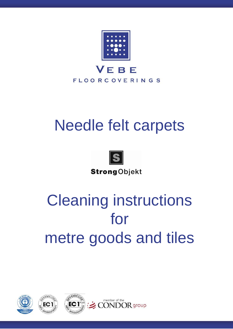

## Needle felt carpets



**Strong**Objekt

# Cleaning instructions for metre goods and tiles

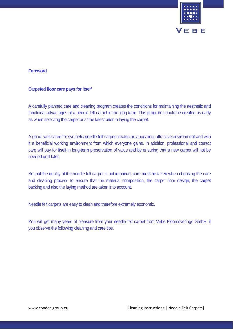

## **Foreword**

## **Carpeted floor care pays for itself**

A carefully planned care and cleaning program creates the conditions for maintaining the aesthetic and functional advantages of a needle felt carpet in the long term. This program should be created as early as when selecting the carpet or at the latest prior to laying the carpet.

A good, well cared for synthetic needle felt carpet creates an appealing, attractive environment and with it a beneficial working environment from which everyone gains. In addition, professional and correct care will pay for itself in long-term preservation of value and by ensuring that a new carpet will not be needed until later.

So that the quality of the needle felt carpet is not impaired, care must be taken when choosing the care and cleaning process to ensure that the material composition, the carpet floor design, the carpet backing and also the laying method are taken into account.

Needle felt carpets are easy to clean and therefore extremely economic.

You will get many years of pleasure from your needle felt carpet from Vebe Floorcoverings GmbH, if you observe the following cleaning and care tips.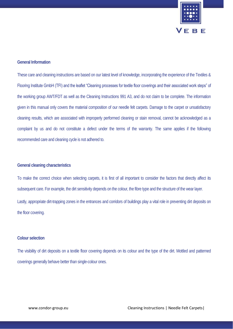

## **General Information**

These care and cleaning instructions are based on our latest level of knowledge, incorporating the experience of the Textiles & Flooring Institute GmbH (TFI) and the leaflet "Cleaning processes for textile floor coverings and their associated work steps" of the working group AWT/FDT as well as the Cleaning Instructions 991 A3, and do not claim to be complete. The information given in this manual only covers the material composition of our needle felt carpets. Damage to the carpet or unsatisfactory cleaning results, which are associated with improperly performed cleaning or stain removal, cannot be acknowledged as a complaint by us and do not constitute a defect under the terms of the warranty. The same applies if the following recommended care and cleaning cycle is not adhered to.

## **General cleaning characteristics**

To make the correct choice when selecting carpets, it is first of all important to consider the factors that directly affect its subsequent care. For example, the dirt sensitivity depends on the colour, the fibre type and the structure of the wear layer. Lastly, appropriate dirt-trapping zones in the entrances and corridors of buildings play a vital role in preventing dirt deposits on the floor covering.

## **Colour selection**

The visibility of dirt deposits on a textile floor covering depends on its colour and the type of the dirt. Mottled and patterned coverings generally behave better than single-colour ones.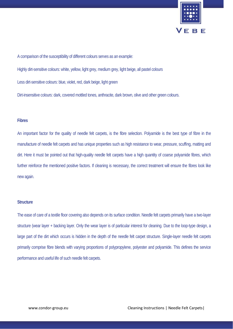

A comparison of the susceptibility of different colours serves as an example:

Highly dirt-sensitive colours: white, yellow, light grey, medium grey, light beige, all pastel colours

Less dirt-sensitive colours: blue, violet, red, dark beige, light green

Dirt-insensitive colours: dark, covered mottled tones, anthracite, dark brown, olive and other green colours.

## **Fibres**

An important factor for the quality of needle felt carpets, is the fibre selection. Polyamide is the best type of fibre in the manufacture of needle felt carpets and has unique properties such as high resistance to wear, pressure, scuffing, matting and dirt. Here it must be pointed out that high-quality needle felt carpets have a high quantity of coarse polyamide fibres, which further reinforce the mentioned positive factors. If cleaning is necessary, the correct treatment will ensure the fibres look like new again.

#### **Structure**

The ease of care of a textile floor covering also depends on its surface condition. Needle felt carpets primarily have a two-layer structure (wear layer + backing layer. Only the wear layer is of particular interest for cleaning. Due to the loop-type design, a large part of the dirt which occurs is hidden in the depth of the needle felt carpet structure. Single-layer needle felt carpets primarily comprise fibre blends with varying proportions of polypropylene, polyester and polyamide. This defines the service performance and useful life of such needle felt carpets.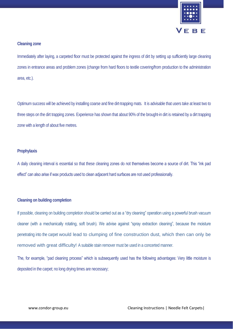

## **Cleaning zone**

Immediately after laying, a carpeted floor must be protected against the ingress of dirt by setting up sufficiently large cleaning zones in entrance areas and problem zones (change from hard floors to textile covering/from production to the administration area, etc.).

Optimum success will be achieved by installing coarse and fine dirt-trapping mats. It is advisable that users take at least two to three steps on the dirt trapping zones. Experience has shown that about 90% of the brought-in dirt is retained by a dirt trapping zone with a length of about five metres.

## **Prophylaxis**

A daily cleaning interval is essential so that these cleaning zones do not themselves become a source of dirt. This "ink pad effect" can also arise if wax products used to clean adjacent hard surfaces are not used professionally.

## **Cleaning on building completion**

If possible, cleaning on building completion should be carried out as a "dry cleaning" operation using a powerful brush vacuum cleaner (with a mechanically rotating, soft brush). We advise against "spray extraction cleaning", because the moisture penetrating into the carpet would lead to clumping of fine construction dust, which then can only be removed with great difficulty! A suitable stain remover must be used in a concerted manner.

The, for example, "pad cleaning process" which is subsequently used has the following advantages: Very little moisture is deposited in the carpet; no long drying times are necessary;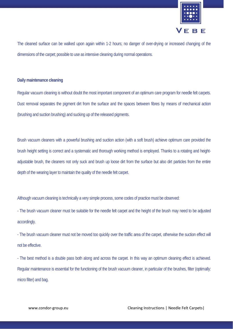

The cleaned surface can be walked upon again within 1-2 hours; no danger of over-drying or increased changing of the dimensions of the carpet; possible to use as intensive cleaning during normal operations.

## **Daily maintenance cleaning**

Regular vacuum cleaning is without doubt the most important component of an optimum care program for needle felt carpets. Dust removal separates the pigment dirt from the surface and the spaces between fibres by means of mechanical action (brushing and suction brushing) and sucking up of the released pigments.

Brush vacuum cleaners with a powerful brushing and suction action (with a soft brush) achieve optimum care provided the brush height setting is correct and a systematic and thorough working method is employed. Thanks to a rotating and heightadjustable brush, the cleaners not only suck and brush up loose dirt from the surface but also dirt particles from the entire depth of the wearing layer to maintain the quality of the needle felt carpet.

Although vacuum cleaning is technically a very simple process, some codes of practice must be observed:

- The brush vacuum cleaner must be suitable for the needle felt carpet and the height of the brush may need to be adjusted accordingly.

- The brush vacuum cleaner must not be moved too quickly over the traffic area of the carpet, otherwise the suction effect will not be effective.

- The best method is a double pass both along and across the carpet. In this way an optimum cleaning effect is achieved. Regular maintenance is essential for the functioning of the brush vacuum cleaner, in particular of the brushes, filter (optimally: micro filter) and bag.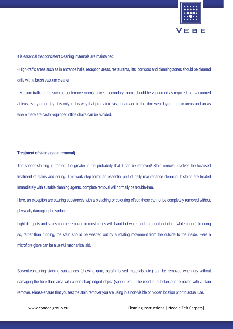

It is essential that consistent cleaning invternals are maintained:

- High-traffic areas such as in entrance halls, reception areas, restaurants, lifts, corridors and cleaning zones should be cleaned daily with a brush vacuum cleaner.

- Medium-traffic areas such as conference rooms, offices, secondary rooms should be vacuumed as required, but vacuumed at least every other day. It is only in this way that premature visual damage to the fibre wear layer in traffic areas and areas where there are castor-equipped office chairs can be avoided.

## **Treatment of stains (stain removal)**

The sooner staining is treated, the greater is the probability that it can be removed! Stain removal involves the localised treatment of stains and soiling. This work step forms an essential part of daily maintenance cleaning. If stains are treated immediately with suitable cleaning agents, complete removal will normally be trouble-free.

Here, an exception are staining substances with a bleaching or colouring effect; these cannot be completely removed without physically damaging the surface.

Light dirt spots and stains can be removed in most cases with hand-hot water and an absorbent cloth (white cotton). In doing so, rather than rubbing, the stain should be washed out by a rotating movement from the outside to the inside. Here a microfibre glove can be a useful mechanical aid.

Solvent-containing staining substances (chewing gum, paraffin-based materials, etc.) can be removed when dry without damaging the fibre floor area with a non-sharp-edged object (spoon, etc.). The residual substance is removed with a stain remover. Please ensure that you test the stain remover you are using in a non-visible or hidden location prior to actual use.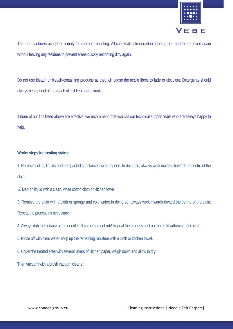

The manufacturers accept no liability for improper handling. All chemicals introduced into the carpet must be removed again without leaving any residues to prevent areas quickly becoming dirty again.

Do not use bleach or bleach-containing products as they will cause the textile fibres to fade or discolour. Detergents should always be kept out of the reach of children and animals!

If none of our tips listed above are effective, we recommend that you call our technical support team who are always happy to help.

## **Works steps for treating stains:**

1. Remove solids, liquids and compacted substances with a spoon. In doing so, always work inwards toward the centre of the stain.

2. Dab on liquid with a clean, white cotton cloth or kitchen towel.

3. Remove the stain with a cloth or sponge and cold water; in doing so, always work inwards toward the centre of the stain. Repeat the process as necessary.

4. Always dab the surface of the needle felt carpet, do not rub! Repeat the process until no more dirt adheres to the cloth.

5. Rinse off with clear water. Mop up the remaining moisture with a cloth or kitchen towel.

6. Cover the treated area with several layers of kitchen paper, weigh down and allow to dry.

Then vacuum with a brush vacuum cleaner.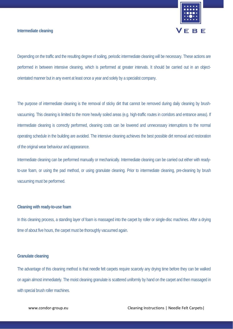

## **Intermediate cleaning**

Depending on the traffic and the resulting degree of soiling, periodic intermediate cleaning will be necessary. These actions are performed in between intensive cleaning, which is performed at greater intervals. It should be carried out in an objectorientated manner but in any event at least once a year and solely by a specialist company.

The purpose of intermediate cleaning is the removal of sticky dirt that cannot be removed during daily cleaning by brushvacuuming. This cleaning is limited to the more heavily soiled areas (e.g. high-traffic routes in corridors and entrance areas). If intermediate cleaning is correctly performed, cleaning costs can be lowered and unnecessary interruptions to the normal operating schedule in the building are avoided. The intensive cleaning achieves the best possible dirt removal and restoration of the original wear behaviour and appearance.

Intermediate cleaning can be performed manually or mechanically. Intermediate cleaning can be carried out either with readyto-use foam, or using the pad method, or using granulate cleaning. Prior to intermediate cleaning, pre-cleaning by brush vacuuming must be performed.

#### **Cleaning with ready-to-use foam**

In this cleaning process, a standing layer of foam is massaged into the carpet by roller or single-disc machines. After a drying time of about five hours, the carpet must be thoroughly vacuumed again.

## **Granulate cleaning**

The advantage of this cleaning method is that needle felt carpets require scarcely any drying time before they can be walked on again almost immediately. The moist cleaning granulate is scattered uniformly by hand on the carpet and then massaged in with special brush roller machines.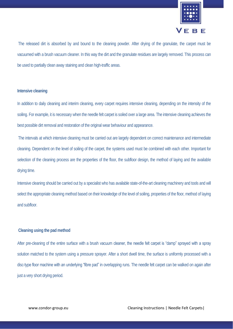

The released dirt is absorbed by and bound to the cleaning powder. After drying of the granulate, the carpet must be vacuumed with a brush vacuum cleaner. In this way the dirt and the granulate residues are largely removed. This process can be used to partially clean away staining and clean high-traffic areas.

#### **Intensive cleaning**

In addition to daily cleaning and interim cleaning, every carpet requires intensive cleaning, depending on the intensity of the soiling. For example, it is necessary when the needle felt carpet is soiled over a large area. The intensive cleaning achieves the best possible dirt removal and restoration of the original wear behaviour and appearance.

The intervals at which intensive cleaning must be carried out are largely dependent on correct maintenance and intermediate cleaning. Dependent on the level of soiling of the carpet, the systems used must be combined with each other. Important for selection of the cleaning process are the properties of the floor, the subfloor design, the method of laying and the available drying time.

Intensive cleaning should be carried out by a specialist who has available state-of-the-art cleaning machinery and tools and will select the appropriate cleaning method based on their knowledge of the level of soiling, properties of the floor, method of laying and subfloor.

## **Cleaning using the pad method**

After pre-cleaning of the entire surface with a brush vacuum cleaner, the needle felt carpet is "damp" sprayed with a spray solution matched to the system using a pressure sprayer. After a short dwell time, the surface is uniformly processed with a disc-type floor machine with an underlying "fibre pad" in overlapping runs. The needle felt carpet can be walked on again after just a very short drying period.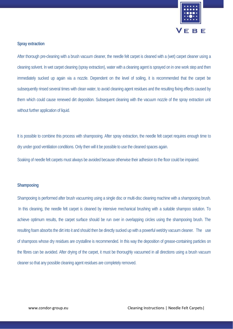

## **Spray extraction**

After thorough pre-cleaning with a brush vacuum cleaner, the needle felt carpet is cleaned with a (wet) carpet cleaner using a cleaning solvent. In wet carpet cleaning (spray extraction), water with a cleaning agent is sprayed on in one work step and then immediately sucked up again via a nozzle. Dependent on the level of soiling, it is recommended that the carpet be subsequently rinsed several times with clean water, to avoid cleaning agent residues and the resulting fixing effects caused by them which could cause renewed dirt deposition. Subsequent cleaning with the vacuum nozzle of the spray extraction unit without further application of liquid.

It is possible to combine this process with shampooing. After spray extraction, the needle felt carpet requires enough time to dry under good ventilation conditions. Only then will it be possible to use the cleaned spaces again.

Soaking of needle felt carpets must always be avoided because otherwise their adhesion to the floor could be impaired.

#### **Shampooing**

Shampooing is performed after brush vacuuming using a single disc or multi-disc cleaning machine with a shampooing brush. In this cleaning, the needle felt carpet is cleaned by intensive mechanical brushing with a suitable shampoo solution. To achieve optimum results, the carpet surface should be run over in overlapping circles using the shampooing brush. The resulting foam absorbs the dirt into it and should then be directly sucked up with a powerful wet/dry vacuum cleaner. The use of shampoos whose dry residues are crystalline is recommended. In this way the deposition of grease-containing particles on the fibres can be avoided. After drying of the carpet, it must be thoroughly vacuumed in all directions using a brush vacuum cleaner so that any possible cleaning agent residues are completely removed.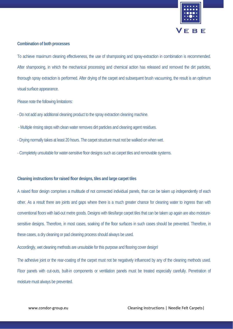

## **Combination of both processes**

To achieve maximum cleaning effectiveness, the use of shampooing and spray-extraction in combination is recommended. After shampooing, in which the mechanical processing and chemical action has released and removed the dirt particles, thorough spray extraction is performed. After drying of the carpet and subsequent brush vacuuming, the result is an optimum visual surface appearance.

Please note the following limitations:

- Do not add any additional cleaning product to the spray extraction cleaning machine.
- Multiple rinsing steps with clean water removes dirt particles and cleaning agent residues.
- Drying normally takes at least 20 hours. The carpet structure must not be walked on when wet.
- Completely unsuitable for water-sensitive floor designs such as carpet tiles and removable systems.

#### **Cleaning instructions for raised floor designs, tiles and large carpet tiles**

A raised floor design comprises a multitude of not connected individual panels, than can be taken up independently of each other. As a result there are joints and gaps where there is a much greater chance for cleaning water to ingress than with conventional floors with laid-out metre goods. Designs with tiles/large carpet tiles that can be taken up again are also moisturesensitive designs. Therefore, in most cases, soaking of the floor surfaces in such cases should be prevented. Therefore, in these cases, a dry cleaning or pad cleaning process should always be used.

Accordingly, wet cleaning methods are unsuitable for this purpose and flooring cover design!

The adhesive joint or the rear-coating of the carpet must not be negatively influenced by any of the cleaning methods used. Floor panels with cut-outs, built-in components or ventilation panels must be treated especially carefully. Penetration of moisture must always be prevented.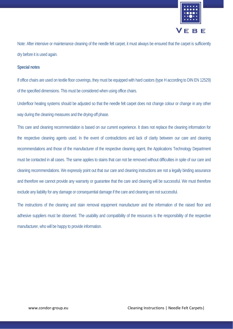

Note: After intensive or maintenance cleaning of the needle felt carpet, it must always be ensured that the carpet is sufficiently dry before it is used again.

## **Special notes**

If office chairs are used on textile floor coverings, they must be equipped with hard castors (type H according to DIN EN 12529) of the specified dimensions. This must be considered when using office chairs.

Underfloor heating systems should be adjusted so that the needle felt carpet does not change colour or change in any other way during the cleaning measures and the drying-off phase.

This care and cleaning recommendation is based on our current experience. It does not replace the cleaning information for the respective cleaning agents used. In the event of contradictions and lack of clarity between our care and cleaning recommendations and those of the manufacturer of the respective cleaning agent, the Applications Technology Department must be contacted in all cases. The same applies to stains that can not be removed without difficulties in spite of our care and cleaning recommendations. We expressly point out that our care and cleaning instructions are not a legally binding assurance and therefore we cannot provide any warranty or guarantee that the care and cleaning will be successful. We must therefore exclude any liability for any damage or consequential damage if the care and cleaning are not successful.

The instructions of the cleaning and stain removal equipment manufacturer and the information of the raised floor and adhesive suppliers must be observed. The usability and compatibility of the resources is the responsibility of the respective manufacturer, who will be happy to provide information.